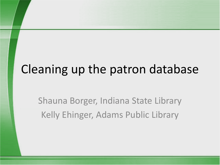# Cleaning up the patron database

Shauna Borger, Indiana State Library Kelly Ehinger, Adams Public Library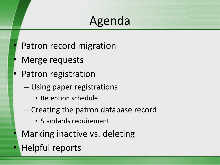# Agenda

- Patron record migration
- Merge requests
- Patron registration
	- Using paper registrations
		- Retention schedule
	- Creating the patron database record
		- Standards requirement
- Marking inactive vs. deleting
- Helpful reports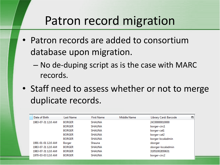## Patron record migration

- Patron records are added to consortium database upon migration.
	- No de-duping script as is the case with MARC records.
- Staff need to assess whether or not to merge duplicate records.

| Date of Birth      | Last Name     | <b>First Name</b> | Middle Name | Library Card: Barcode | 閃 |
|--------------------|---------------|-------------------|-------------|-----------------------|---|
| 1983-07-31 12:0 AM | <b>BORGER</b> | <b>SHAUNA</b>     |             | 24330000010000        |   |
|                    | <b>BORGER</b> | <b>SHAUNA</b>     |             | borger-circ1          |   |
|                    | <b>BORGER</b> | <b>SHAUNA</b>     |             | borger-cat1           |   |
|                    | <b>BORGER</b> | <b>SHAUNA</b>     |             | borger-cat2           |   |
|                    | <b>BORGER</b> | <b>SHAUNA</b>     |             | borger-localadmin     |   |
| 1991-01-01 12:0 AM | Borger        | Shauna            |             | sborger               |   |
| 1983-07-31 12:0 AM | <b>BORGER</b> | <b>SHAUNA</b>     |             | sborger-localadmin    |   |
| 1983-07-31 12:0 AM | <b>BORGER</b> | <b>SHAUNA</b>     |             | 31951002850631        |   |
| 1970-03-03 12:0 AM | <b>BORGER</b> | <b>SHAUNA</b>     |             | borger-circ2          |   |
|                    |               |                   |             |                       |   |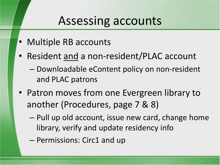#### Assessing accounts

- Multiple RB accounts
- Resident and a non-resident/PLAC account
	- Downloadable eContent policy on non-resident and PLAC patrons
- Patron moves from one Evergreen library to another (Procedures, page 7 & 8)
	- Pull up old account, issue new card, change home library, verify and update residency info
	- Permissions: Circ1 and up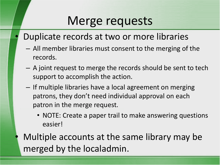# Merge requests

- Duplicate records at two or more libraries
	- All member libraries must consent to the merging of the records.
	- A joint request to merge the records should be sent to tech support to accomplish the action.
	- If multiple libraries have a local agreement on merging patrons, they don't need individual approval on each patron in the merge request.
		- NOTE: Create a paper trail to make answering questions easier!
	- Multiple accounts at the same library may be merged by the localadmin.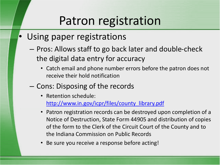# Patron registration

- Using paper registrations
	- Pros: Allows staff to go back later and double-check the digital data entry for accuracy
		- Catch email and phone number errors before the patron does not receive their hold notification
	- Cons: Disposing of the records
		- Retention schedule: [http://www.in.gov/icpr/files/county\\_library.pdf](http://www.in.gov/icpr/files/county_library.pdf)
		- Patron registration records can be destroyed upon completion of a Notice of Destruction, State Form 44905 and distribution of copies of the form to the Clerk of the Circuit Court of the County and to the Indiana Commission on Public Records
		- Be sure you receive a response before acting!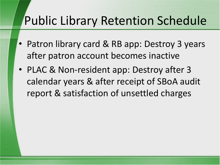# Public Library Retention Schedule

- Patron library card & RB app: Destroy 3 years after patron account becomes inactive
- PLAC & Non-resident app: Destroy after 3 calendar years & after receipt of SBoA audit report & satisfaction of unsettled charges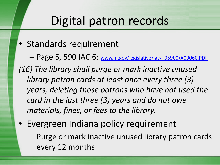## Digital patron records

• Standards requirement

– Page 5, 590 IAC 6: [www.in.gov/legislative/iac/T05900/A00060.PDF](http://www.in.gov/legislative/iac/T05900/A00060.PDF)

*(16) The library shall purge or mark inactive unused library patron cards at least once every three (3) years, deleting those patrons who have not used the card in the last three (3) years and do not owe materials, fines, or fees to the library.*

- Evergreen Indiana policy requirement
	- Purge or mark inactive unused library patron cards every 12 months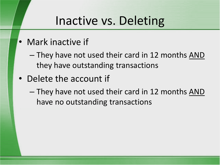### Inactive vs. Deleting

- Mark inactive if
	- They have not used their card in 12 months AND they have outstanding transactions
- Delete the account if
	- They have not used their card in 12 months AND have no outstanding transactions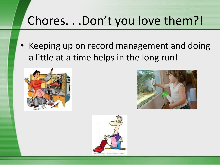# Chores. . .Don't you love them?!

• Keeping up on record management and doing a little at a time helps in the long run!





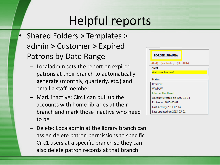# Helpful reports

- Shared Folders > Templates > admin > Customer > Expired Patrons by Date Range
	- Localadmin sets the report on expired patrons at their branch to automatically generate (monthly, quarterly, etc.) and email a staff member
	- Mark inactive: Circ1 can pull up the accounts with home libraries at their branch and mark those inactive who need to be
	- Delete: Localadmin at the library branch can assign delete patron permissions to specific Circ1 users at a specific branch so they can also delete patron records at that branch.

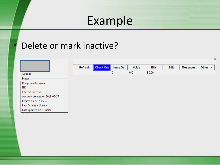## Example

#### Delete or mark inactive?

|                                 |                |           |                  |          |              |             |                 | ×                                    |
|---------------------------------|----------------|-----------|------------------|----------|--------------|-------------|-----------------|--------------------------------------|
|                                 | <b>Refresh</b> | Check Out | <b>Items Out</b> | $H$ olds | <b>Bills</b> | <b>Edit</b> | <b>Messages</b> | $Q$ ther<br>$\overline{\phantom{a}}$ |
| (Expired)                       |                |           | 0                | 0/0      | \$0.00       |             |                 |                                      |
| <b>Status</b>                   |                |           |                  |          |              |             |                 |                                      |
| ReciprocalBorrower              |                |           |                  |          |              |             |                 |                                      |
| <b>ISLI</b>                     |                |           |                  |          |              |             |                 |                                      |
| <b>Internet Filtered</b>        |                |           |                  |          |              |             |                 |                                      |
| Account created on 2011-05-27   |                |           |                  |          |              |             |                 |                                      |
| Expires on 2012-05-27           |                |           |                  |          |              |             |                 |                                      |
| Last Activity <unset></unset>   |                |           |                  |          |              |             |                 |                                      |
| Last updated on <unset></unset> |                |           |                  |          |              |             |                 |                                      |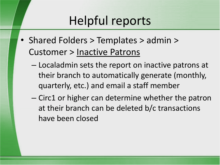# Helpful reports

- Shared Folders > Templates > admin > Customer > Inactive Patrons
	- Localadmin sets the report on inactive patrons at their branch to automatically generate (monthly, quarterly, etc.) and email a staff member
	- Circ1 or higher can determine whether the patron at their branch can be deleted b/c transactions have been closed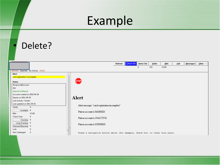# Example

#### Delete?

|                                        |                                                                               | Refresh | <b>Check Out</b> | <b>Items Out</b> | <b>Holds</b> | <b>Bills</b> | Edit | <b>Messages</b> | Other $\tau$ |
|----------------------------------------|-------------------------------------------------------------------------------|---------|------------------|------------------|--------------|--------------|------|-----------------|--------------|
|                                        |                                                                               |         |                  | $\Omega$         | 0/0          | \$0.00       |      |                 |              |
| (Barred) (Expired) (In-Active) (Alert) |                                                                               |         |                  |                  |              |              |      |                 |              |
| Alert                                  |                                                                               |         |                  |                  |              |              |      |                 |              |
| card registration incomplete           |                                                                               |         |                  |                  |              |              |      |                 |              |
| <b>Status</b>                          | [5TOP]                                                                        |         |                  |                  |              |              |      |                 |              |
| ReciprocalBorrower                     |                                                                               |         |                  |                  |              |              |      |                 |              |
| <b>ISLI</b>                            |                                                                               |         |                  |                  |              |              |      |                 |              |
| <b>Internet Unfiltered</b>             |                                                                               |         |                  |                  |              |              |      |                 |              |
| Account created on 2010-04-26          |                                                                               |         |                  |                  |              |              |      |                 |              |
| Expires on 2011-06-29                  | <b>Alert</b>                                                                  |         |                  |                  |              |              |      |                 |              |
| Last Activity <unset></unset>          |                                                                               |         |                  |                  |              |              |      |                 |              |
| Last updated on 2012-05-01             |                                                                               |         |                  |                  |              |              |      |                 |              |
| Holds:<br>$\mathbf{0}$                 | Alert message: "card registration incomplete"                                 |         |                  |                  |              |              |      |                 |              |
| Available: 0                           | Patron account is BARRED.                                                     |         |                  |                  |              |              |      |                 |              |
| <b>Bills:</b><br>\$0.00                |                                                                               |         |                  |                  |              |              |      |                 |              |
| <b>Check Outs:</b><br>$\mathbf{0}$     | Patron account is INACTIVE.                                                   |         |                  |                  |              |              |      |                 |              |
| Overdue: 0                             |                                                                               |         |                  |                  |              |              |      |                 |              |
| Long Overdue: 0                        | Patron account is EXPIRED.                                                    |         |                  |                  |              |              |      |                 |              |
| Claimed Returned: 0                    |                                                                               |         |                  |                  |              |              |      |                 |              |
| Lost:<br>$\mathbf{0}$                  |                                                                               |         |                  |                  |              |              |      |                 |              |
| Non Cataloged:<br>$\overline{0}$       | Press a navigation button above (for example, Check Out) to clear this alert. |         |                  |                  |              |              |      |                 |              |
|                                        |                                                                               |         |                  |                  |              |              |      |                 |              |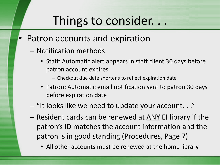## Things to consider. . .

- Patron accounts and expiration
	- Notification methods
		- Staff: Automatic alert appears in staff client 30 days before patron account expires
			- Checkout due date shortens to reflect expiration date
		- Patron: Automatic email notification sent to patron 30 days before expiration date
	- "It looks like we need to update your account. . ."
	- Resident cards can be renewed at ANY EI library if the patron's ID matches the account information and the patron is in good standing (Procedures, Page 7)
		- All other accounts must be renewed at the home library